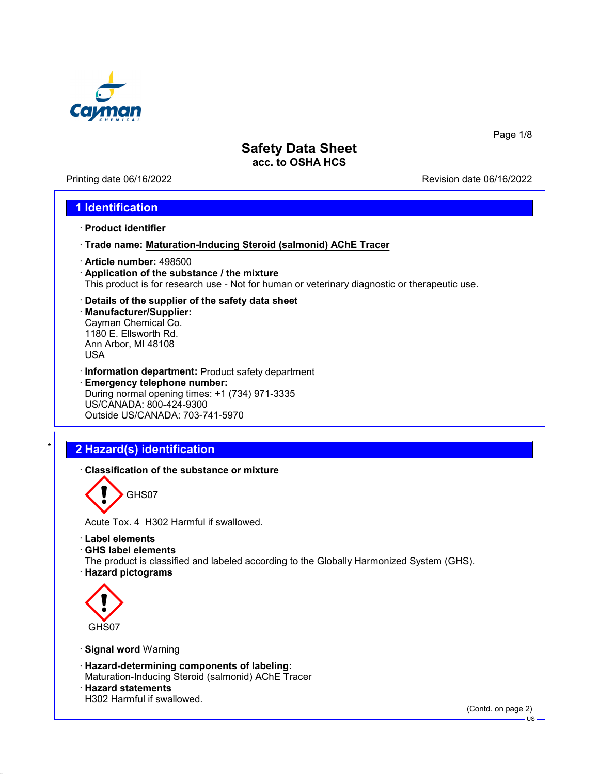

Printing date 06/16/2022 Revision date 06/16/2022

Page 1/8

### **1 Identification**

- · **Product identifier**
- · **Trade name: Maturation-Inducing Steroid (salmonid) AChE Tracer**
- · **Article number:** 498500
- · **Application of the substance / the mixture** This product is for research use - Not for human or veterinary diagnostic or therapeutic use.
- · **Details of the supplier of the safety data sheet**
- · **Manufacturer/Supplier:** Cayman Chemical Co. 1180 E. Ellsworth Rd. Ann Arbor, MI 48108 USA
- · **Information department:** Product safety department · **Emergency telephone number:** During normal opening times: +1 (734) 971-3335 US/CANADA: 800-424-9300 Outside US/CANADA: 703-741-5970

# \* **2 Hazard(s) identification**

· **Classification of the substance or mixture**



Acute Tox. 4 H302 Harmful if swallowed.

- · **Label elements**
- · **GHS label elements**
- The product is classified and labeled according to the Globally Harmonized System (GHS).
- · **Hazard pictograms**



- · **Signal word** Warning
- · **Hazard-determining components of labeling:** Maturation-Inducing Steroid (salmonid) AChE Tracer
- · **Hazard statements** H302 Harmful if swallowed.

(Contd. on page 2)

US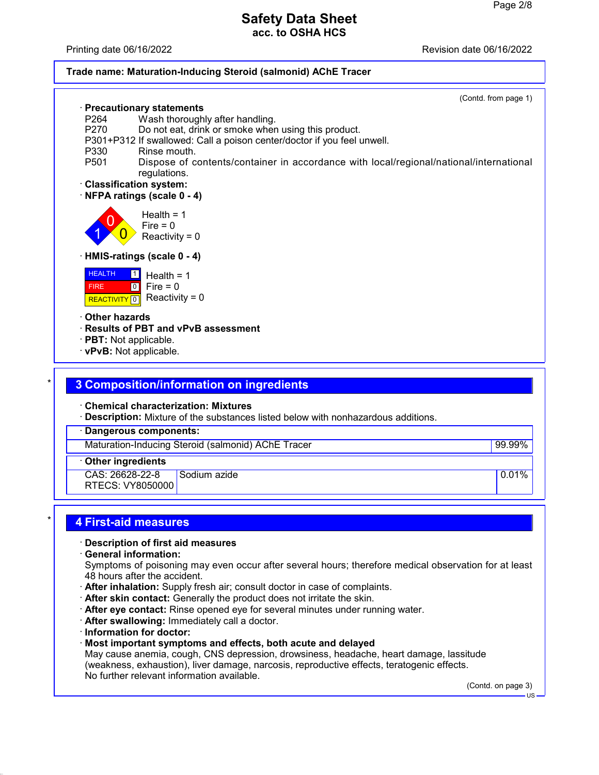Printing date 06/16/2022 Revision date 06/16/2022

#### **Trade name: Maturation-Inducing Steroid (salmonid) AChE Tracer**

|                         | · Precautionary statements                                                             | (Contd. from page 1) |
|-------------------------|----------------------------------------------------------------------------------------|----------------------|
| P <sub>264</sub>        |                                                                                        |                      |
| P270                    | Wash thoroughly after handling.<br>Do not eat, drink or smoke when using this product. |                      |
|                         | P301+P312 If swallowed: Call a poison center/doctor if you feel unwell.                |                      |
| P330                    | Rinse mouth.                                                                           |                      |
| P <sub>501</sub>        | Dispose of contents/container in accordance with local/regional/national/international |                      |
|                         | regulations.                                                                           |                      |
|                         | · Classification system:                                                               |                      |
|                         | NFPA ratings (scale 0 - 4)                                                             |                      |
|                         |                                                                                        |                      |
|                         | Health $= 1$                                                                           |                      |
|                         | Fire = $0$                                                                             |                      |
|                         | Reactivity = $0$                                                                       |                      |
|                         | · HMIS-ratings (scale 0 - 4)                                                           |                      |
|                         |                                                                                        |                      |
| <b>HEALTH</b>           | $\vert$ 1<br>Health = $1$                                                              |                      |
| <b>FIRE</b>             | $\boxed{0}$<br>Fire = $0$                                                              |                      |
| REACTIVITY <sup>0</sup> | Reactivity = $0$                                                                       |                      |
| Other hazards           |                                                                                        |                      |
|                         | · Results of PBT and vPvB assessment                                                   |                      |
| · PBT: Not applicable.  |                                                                                        |                      |
|                         | · vPvB: Not applicable.                                                                |                      |
|                         |                                                                                        |                      |
|                         |                                                                                        |                      |
|                         | 3 Composition/information on ingredients                                               |                      |
|                         |                                                                                        |                      |
|                         | <b>Chemical characterization: Mixtures</b>                                             |                      |
|                         | · Description: Mixture of the substances listed below with nonhazardous additions.     |                      |
|                         | <b>Dangerous components:</b>                                                           |                      |
|                         | Maturation-Inducing Steroid (salmonid) AChE Tracer                                     | 99.99%               |
|                         |                                                                                        |                      |

· **Other ingredients**

CAS: 26628-22-8 RTECS: VY8050000 Sodium azide **0.01%** and 0.01%

### \* **4 First-aid measures**

#### · **Description of first aid measures**

· **General information:**

Symptoms of poisoning may even occur after several hours; therefore medical observation for at least 48 hours after the accident.

- · **After inhalation:** Supply fresh air; consult doctor in case of complaints.
- · **After skin contact:** Generally the product does not irritate the skin.
- · **After eye contact:** Rinse opened eye for several minutes under running water.
- · **After swallowing:** Immediately call a doctor.
- · **Information for doctor:**
- · **Most important symptoms and effects, both acute and delayed**

May cause anemia, cough, CNS depression, drowsiness, headache, heart damage, lassitude (weakness, exhaustion), liver damage, narcosis, reproductive effects, teratogenic effects. No further relevant information available.

(Contd. on page 3)

US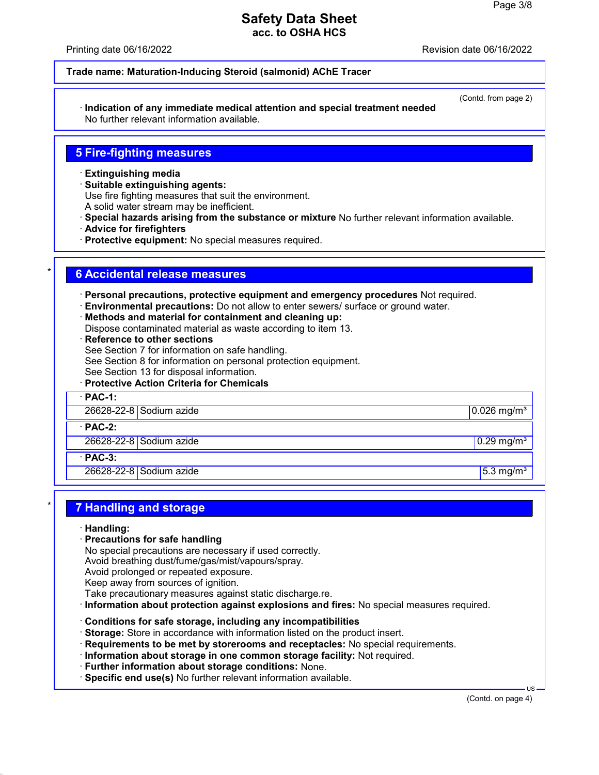Printing date 06/16/2022 Revision date 06/16/2022

(Contd. from page 2)

#### **Trade name: Maturation-Inducing Steroid (salmonid) AChE Tracer**

· **Indication of any immediate medical attention and special treatment needed** No further relevant information available.

### **5 Fire-fighting measures**

- · **Extinguishing media**
- · **Suitable extinguishing agents:**
- Use fire fighting measures that suit the environment.
- A solid water stream may be inefficient.
- · **Special hazards arising from the substance or mixture** No further relevant information available.
- · **Advice for firefighters**
- · **Protective equipment:** No special measures required.

### \* **6 Accidental release measures**

· **Personal precautions, protective equipment and emergency procedures** Not required.

- · **Environmental precautions:** Do not allow to enter sewers/ surface or ground water.
- · **Methods and material for containment and cleaning up:**
- Dispose contaminated material as waste according to item 13.
- · **Reference to other sections** See Section 7 for information on safe handling. See Section 8 for information on personal protection equipment.
- See Section 13 for disposal information.

· **Protective Action Criteria for Chemicals**

· **PAC-1:** 26628-22-8 Sodium azide 0.026 mg/m³ · **PAC-2:** 26628-22-8 Sodium azide 0.29 mg/m $\frac{1}{3}$  0.29 mg/m<sup>3</sup> · **PAC-3:** 26628-22-8 Sodium azide 5.3 mg/m<sup>3</sup>

### \* **7 Handling and storage**

- · **Handling:**
- · **Precautions for safe handling**
- No special precautions are necessary if used correctly.
- Avoid breathing dust/fume/gas/mist/vapours/spray.
- Avoid prolonged or repeated exposure.
- Keep away from sources of ignition.
- Take precautionary measures against static discharge.re.
- · **Information about protection against explosions and fires:** No special measures required.
- · **Conditions for safe storage, including any incompatibilities**
- · **Storage:** Store in accordance with information listed on the product insert.
- · **Requirements to be met by storerooms and receptacles:** No special requirements.
- · **Information about storage in one common storage facility:** Not required.
- · **Further information about storage conditions:** None.
- · **Specific end use(s)** No further relevant information available.

(Contd. on page 4)

US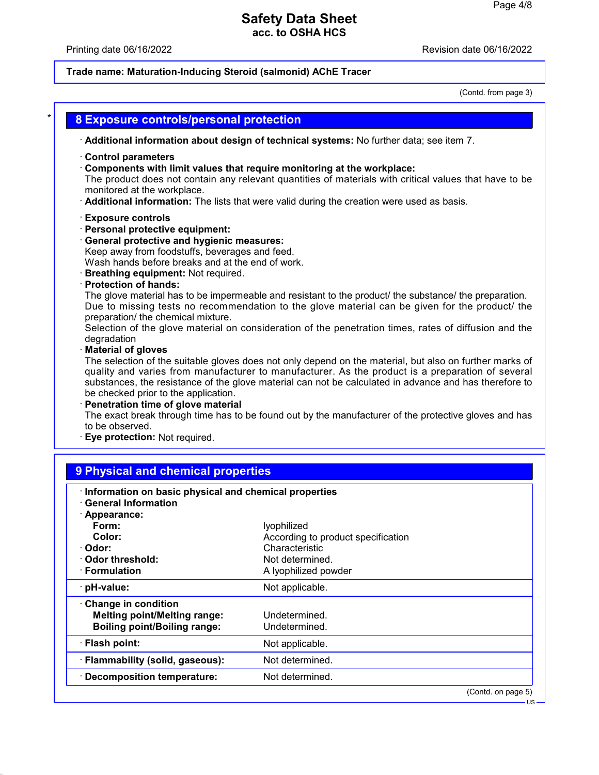## Printing date 06/16/2022 **Revision date 06/16/2022**

# **Trade name: Maturation-Inducing Steroid (salmonid) AChE Tracer**

(Contd. from page 3)

|                                                                                                    | · Additional information about design of technical systems: No further data; see item 7.                                                                                                                                                                                      |
|----------------------------------------------------------------------------------------------------|-------------------------------------------------------------------------------------------------------------------------------------------------------------------------------------------------------------------------------------------------------------------------------|
| <b>Control parameters</b><br>monitored at the workplace.                                           | Components with limit values that require monitoring at the workplace:<br>The product does not contain any relevant quantities of materials with critical values that have to be<br>Additional information: The lists that were valid during the creation were used as basis. |
| <b>Exposure controls</b>                                                                           |                                                                                                                                                                                                                                                                               |
| · Personal protective equipment:                                                                   |                                                                                                                                                                                                                                                                               |
| · General protective and hygienic measures:                                                        |                                                                                                                                                                                                                                                                               |
| Keep away from foodstuffs, beverages and feed.<br>Wash hands before breaks and at the end of work. |                                                                                                                                                                                                                                                                               |
| · Breathing equipment: Not required.                                                               |                                                                                                                                                                                                                                                                               |
| · Protection of hands:                                                                             |                                                                                                                                                                                                                                                                               |
|                                                                                                    | The glove material has to be impermeable and resistant to the product/ the substance/ the preparation.                                                                                                                                                                        |
|                                                                                                    | Due to missing tests no recommendation to the glove material can be given for the product/ the                                                                                                                                                                                |
| preparation/ the chemical mixture.                                                                 | Selection of the glove material on consideration of the penetration times, rates of diffusion and the                                                                                                                                                                         |
| degradation                                                                                        |                                                                                                                                                                                                                                                                               |
| Material of gloves                                                                                 |                                                                                                                                                                                                                                                                               |
|                                                                                                    | The selection of the suitable gloves does not only depend on the material, but also on further marks of                                                                                                                                                                       |
|                                                                                                    | quality and varies from manufacturer to manufacturer. As the product is a preparation of several                                                                                                                                                                              |
|                                                                                                    |                                                                                                                                                                                                                                                                               |
|                                                                                                    |                                                                                                                                                                                                                                                                               |
| be checked prior to the application.                                                               |                                                                                                                                                                                                                                                                               |
| Penetration time of glove material                                                                 |                                                                                                                                                                                                                                                                               |
|                                                                                                    |                                                                                                                                                                                                                                                                               |
| to be observed.<br>Eye protection: Not required.                                                   |                                                                                                                                                                                                                                                                               |
|                                                                                                    |                                                                                                                                                                                                                                                                               |
|                                                                                                    |                                                                                                                                                                                                                                                                               |
| 9 Physical and chemical properties                                                                 |                                                                                                                                                                                                                                                                               |
|                                                                                                    | substances, the resistance of the glove material can not be calculated in advance and has therefore to<br>The exact break through time has to be found out by the manufacturer of the protective gloves and has                                                               |
| Information on basic physical and chemical properties<br><b>General Information</b>                |                                                                                                                                                                                                                                                                               |
| · Appearance:                                                                                      |                                                                                                                                                                                                                                                                               |
| Form:                                                                                              | lyophilized                                                                                                                                                                                                                                                                   |
| Color:                                                                                             | According to product specification                                                                                                                                                                                                                                            |
| Odor:                                                                                              | Characteristic                                                                                                                                                                                                                                                                |
| <b>Odor threshold:</b>                                                                             | Not determined.                                                                                                                                                                                                                                                               |
| · Formulation                                                                                      | A lyophilized powder                                                                                                                                                                                                                                                          |
| pH-value:                                                                                          | Not applicable.                                                                                                                                                                                                                                                               |
| Change in condition                                                                                |                                                                                                                                                                                                                                                                               |
| <b>Melting point/Melting range:</b>                                                                | Undetermined.                                                                                                                                                                                                                                                                 |
| <b>Boiling point/Boiling range:</b>                                                                | Undetermined.                                                                                                                                                                                                                                                                 |
|                                                                                                    |                                                                                                                                                                                                                                                                               |
|                                                                                                    | Not applicable.                                                                                                                                                                                                                                                               |
| · Flash point:<br>· Flammability (solid, gaseous):                                                 | Not determined.                                                                                                                                                                                                                                                               |

(Contd. on page 5) US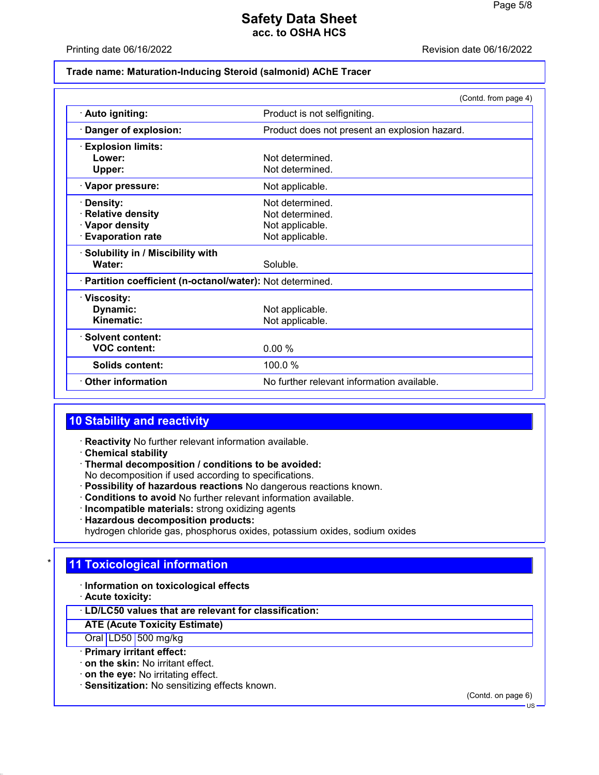#### Printing date 06/16/2022 Revision date 06/16/2022

#### **Trade name: Maturation-Inducing Steroid (salmonid) AChE Tracer**

|                                                                                   | (Contd. from page 4)                                                     |  |  |  |
|-----------------------------------------------------------------------------------|--------------------------------------------------------------------------|--|--|--|
| · Auto igniting:                                                                  | Product is not selfigniting.                                             |  |  |  |
| Danger of explosion:                                                              | Product does not present an explosion hazard.                            |  |  |  |
| <b>Explosion limits:</b><br>Lower:<br>Upper:                                      | Not determined<br>Not determined.                                        |  |  |  |
| · Vapor pressure:                                                                 | Not applicable.                                                          |  |  |  |
| Density:<br><b>Relative density</b><br>· Vapor density<br><b>Evaporation rate</b> | Not determined.<br>Not determined.<br>Not applicable.<br>Not applicable. |  |  |  |
| · Solubility in / Miscibility with<br>Water:                                      | Soluble.                                                                 |  |  |  |
| · Partition coefficient (n-octanol/water): Not determined.                        |                                                                          |  |  |  |
| · Viscosity:<br>Dynamic:<br>Kinematic:                                            | Not applicable.<br>Not applicable.                                       |  |  |  |
| · Solvent content:<br><b>VOC content:</b>                                         | 0.00%                                                                    |  |  |  |
| Solids content:                                                                   | 100.0 %                                                                  |  |  |  |
| $\cdot$ Other information                                                         | No further relevant information available.                               |  |  |  |

## **10 Stability and reactivity**

- · **Reactivity** No further relevant information available.
- · **Chemical stability**
- · **Thermal decomposition / conditions to be avoided:**
- No decomposition if used according to specifications.
- · **Possibility of hazardous reactions** No dangerous reactions known.
- · **Conditions to avoid** No further relevant information available.
- · **Incompatible materials:** strong oxidizing agents
- · **Hazardous decomposition products:**
- hydrogen chloride gas, phosphorus oxides, potassium oxides, sodium oxides

### **11 Toxicological information**

- · **Information on toxicological effects**
- · **Acute toxicity:**

### · **LD/LC50 values that are relevant for classification:**

## **ATE (Acute Toxicity Estimate)**

- Oral LD50 500 mg/kg
- · **Primary irritant effect:**
- · **on the skin:** No irritant effect.
- · **on the eye:** No irritating effect.
- · **Sensitization:** No sensitizing effects known.

(Contd. on page 6) US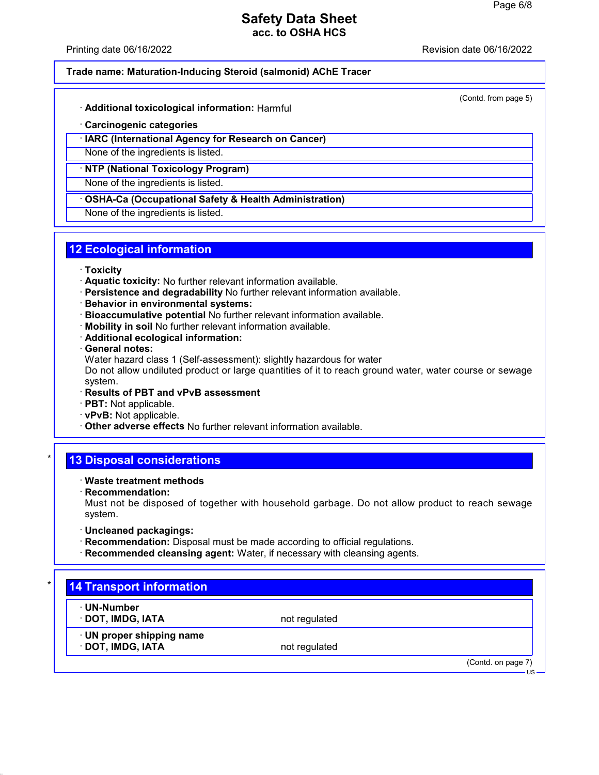Printing date 06/16/2022 Revision date 06/16/2022

#### **Trade name: Maturation-Inducing Steroid (salmonid) AChE Tracer**

(Contd. from page 5)

- · **Additional toxicological information:** Harmful
- · **Carcinogenic categories**
- · **IARC (International Agency for Research on Cancer)**
- None of the ingredients is listed.
- · **NTP (National Toxicology Program)**

None of the ingredients is listed.

· **OSHA-Ca (Occupational Safety & Health Administration)**

None of the ingredients is listed.

## **12 Ecological information**

- · **Toxicity**
- · **Aquatic toxicity:** No further relevant information available.
- · **Persistence and degradability** No further relevant information available.
- · **Behavior in environmental systems:**
- · **Bioaccumulative potential** No further relevant information available.
- · **Mobility in soil** No further relevant information available.
- · **Additional ecological information:**
- · **General notes:**
- Water hazard class 1 (Self-assessment): slightly hazardous for water

Do not allow undiluted product or large quantities of it to reach ground water, water course or sewage system.

- · **Results of PBT and vPvB assessment**
- · **PBT:** Not applicable.
- · **vPvB:** Not applicable.
- · **Other adverse effects** No further relevant information available.

### **13 Disposal considerations**

- · **Waste treatment methods**
- · **Recommendation:**

Must not be disposed of together with household garbage. Do not allow product to reach sewage system.

- · **Uncleaned packagings:**
- · **Recommendation:** Disposal must be made according to official regulations.
- · **Recommended cleansing agent:** Water, if necessary with cleansing agents.

# **14 Transport information** · **UN-Number · DOT, IMDG, IATA** not regulated · **UN proper shipping name DOT, IMDG, IATA** not regulated (Contd. on page 7) US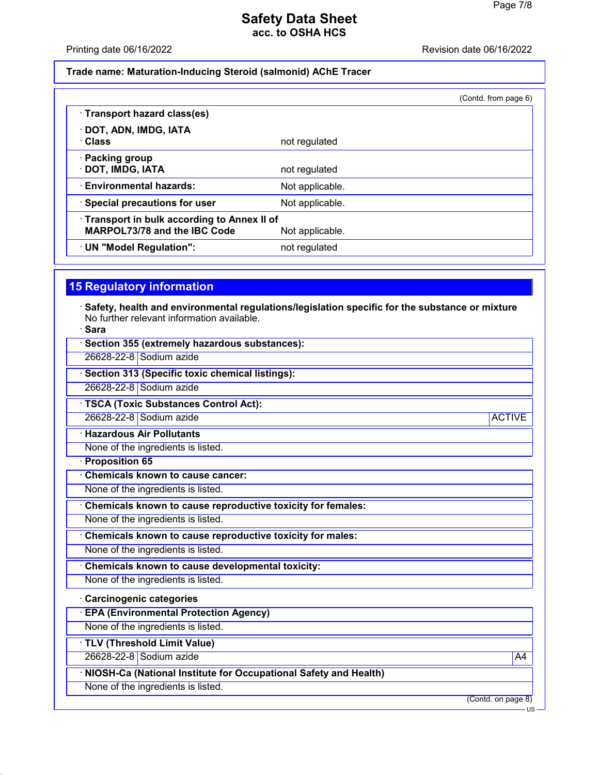#### Printing date 06/16/2022 **Revision date 06/16/2022**

### **Trade name: Maturation-Inducing Steroid (salmonid) AChE Tracer**

|                                                                                     |                 | (Contd. from page 6) |
|-------------------------------------------------------------------------------------|-----------------|----------------------|
| · Transport hazard class(es)                                                        |                 |                      |
| · DOT, ADN, IMDG, IATA<br>· Class                                                   | not regulated   |                      |
| · Packing group<br>· DOT, IMDG, IATA                                                | not regulated   |                      |
| <b>Environmental hazards:</b>                                                       | Not applicable. |                      |
| · Special precautions for user                                                      | Not applicable. |                      |
| · Transport in bulk according to Annex II of<br><b>MARPOL73/78 and the IBC Code</b> | Not applicable. |                      |
| · UN "Model Regulation":                                                            | not regulated   |                      |

# **15 Regulatory information**

- · **Safety, health and environmental regulations/legislation specific for the substance or mixture** No further relevant information available.
- · **Sara**

| · Section 355 (extremely hazardous substances):                  |                    |
|------------------------------------------------------------------|--------------------|
| 26628-22-8 Sodium azide                                          |                    |
| · Section 313 (Specific toxic chemical listings):                |                    |
| 26628-22-8 Sodium azide                                          |                    |
| · TSCA (Toxic Substances Control Act):                           |                    |
| 26628-22-8 Sodium azide                                          | <b>ACTIVE</b>      |
| <b>Hazardous Air Pollutants</b>                                  |                    |
| None of the ingredients is listed.                               |                    |
| Proposition 65                                                   |                    |
| Chemicals known to cause cancer:                                 |                    |
| None of the ingredients is listed.                               |                    |
| Chemicals known to cause reproductive toxicity for females:      |                    |
| None of the ingredients is listed.                               |                    |
| Chemicals known to cause reproductive toxicity for males:        |                    |
| None of the ingredients is listed.                               |                    |
| Chemicals known to cause developmental toxicity:                 |                    |
| None of the ingredients is listed.                               |                    |
| Carcinogenic categories                                          |                    |
| <b>EPA (Environmental Protection Agency)</b>                     |                    |
| None of the ingredients is listed.                               |                    |
| TLV (Threshold Limit Value)                                      |                    |
| 26628-22-8 Sodium azide                                          | A4                 |
| NIOSH-Ca (National Institute for Occupational Safety and Health) |                    |
| None of the ingredients is listed.                               |                    |
|                                                                  | (Contd. on page 8) |

US